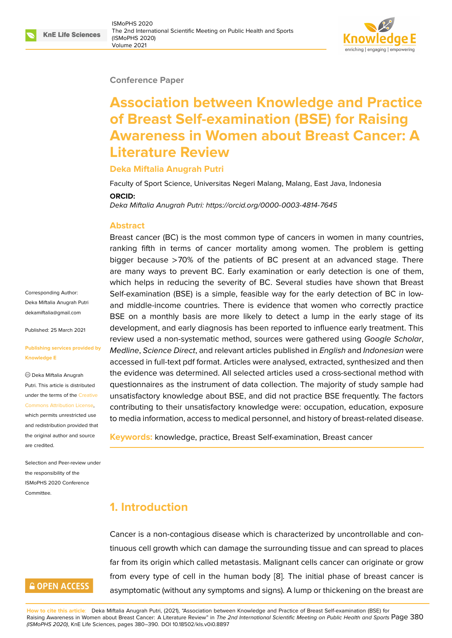### **Conference Paper**

# **Association between Knowledge and Practice of Breast Self-examination (BSE) for Raising Awareness in Women about Breast Cancer: A Literature Review**

### **Deka Miftalia Anugrah Putri**

Faculty of Sport Science, Universitas Negeri Malang, Malang, East Java, Indonesia

#### **ORCID:**

*Deka Miftalia Anugrah Putri: https://orcid.org/0000-0003-4814-7645*

#### **Abstract**

Breast cancer (BC) is the most common type of cancers in women in many countries, ranking fifth in terms of [cancer mortality among women. T](https://orcid.org/0000-0003-4814-7645)he problem is getting bigger because >70% of the patients of BC present at an advanced stage. There are many ways to prevent BC. Early examination or early detection is one of them, which helps in reducing the severity of BC. Several studies have shown that Breast Self-examination (BSE) is a simple, feasible way for the early detection of BC in lowand middle-income countries. There is evidence that women who correctly practice BSE on a monthly basis are more likely to detect a lump in the early stage of its development, and early diagnosis has been reported to influence early treatment. This review used a non-systematic method, sources were gathered using *Google Scholar*, *Medline*, *Science Direct*, and relevant articles published in *English* and *Indonesian* were accessed in full-text pdf format. Articles were analysed, extracted, synthesized and then the evidence was determined. All selected articles used a cross-sectional method with questionnaires as the instrument of data collection. The majority of study sample had unsatisfactory knowledge about BSE, and did not practice BSE frequently. The factors contributing to their unsatisfactory knowledge were: occupation, education, exposure to media information, access to medical personnel, and history of breast-related disease.

**Keywords:** knowledge, practice, Breast Self-examination, Breast cancer

### **1. Introduction**

Cancer is a non-contagious disease which is characterized by uncontrollable and continuous cell growth which can damage the surrounding tissue and can spread to places far from its origin which called metastasis. Malignant cells cancer can originate or grow from every type of cell in the human body [8]. The initial phase of breast cancer is asymptomatic (without any symptoms and signs). A lump or thickening on the breast are

Corresponding Author: Deka Miftalia Anugrah Putri dekamiftalia@gmail.com

Published: 25 March 2021

#### **[Publishing services prov](mailto:dekamiftalia@gmail.com)ided by Knowledge E**

Deka Miftalia Anugrah Putri. This article is distributed under the terms of the Creative Commons Attribution License,

which permits unrestricted use and redistribution provided that the original author and [source](https://creativecommons.org/licenses/by/4.0/) [are credited.](https://creativecommons.org/licenses/by/4.0/)

Selection and Peer-review under the responsibility of the ISMoPHS 2020 Conference Committee.

### **GOPEN ACCESS**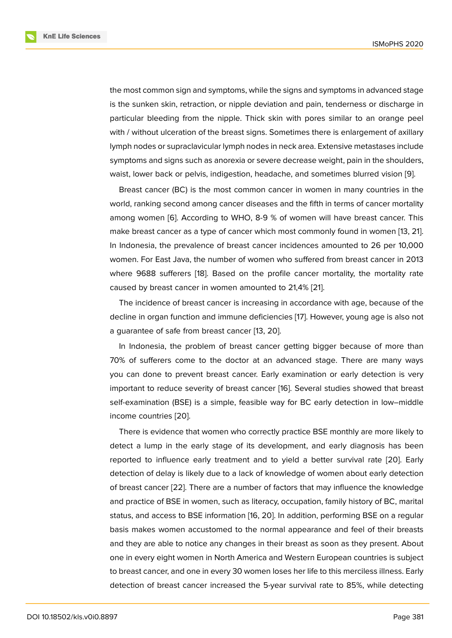the most common sign and symptoms, while the signs and symptoms in advanced stage is the sunken skin, retraction, or nipple deviation and pain, tenderness or discharge in particular bleeding from the nipple. Thick skin with pores similar to an orange peel with / without ulceration of the breast signs. Sometimes there is enlargement of axillary lymph nodes or supraclavicular lymph nodes in neck area. Extensive metastases include symptoms and signs such as anorexia or severe decrease weight, pain in the shoulders, waist, lower back or pelvis, indigestion, headache, and sometimes blurred vision [9].

Breast cancer (BC) is the most common cancer in women in many countries in the world, ranking second among cancer diseases and the fifth in terms of cancer mortality among women [6]. According to WHO, 8-9 % of women will have breast cancer. [T](#page-9-1)his make breast cancer as a type of cancer which most commonly found in women [13, 21]. In Indonesia, the prevalence of breast cancer incidences amounted to 26 per 10,000 women. For Eas[t J](#page-9-2)ava, the number of women who suffered from breast cancer in 2013 where 9688 sufferers [18]. Based on the profile cancer mortality, the mortali[ty](#page-9-3) [rate](#page-10-0) caused by breast cancer in women amounted to 21,4% [21].

The incidence of breast cancer is increasing in accordance with age, because of the decline in organ functio[n a](#page-10-1)nd immune deficiencies [17]. However, young age is also not a guarantee of safe from breast cancer [13, 20].

In Indonesia, the problem of breast cancer getting bigger because of more than 70% of sufferers come to the doctor at an adva[nce](#page-10-2)d stage. There are many ways you can done to prevent breast cance[r. E](#page-9-3)[arly](#page-10-3) examination or early detection is very important to reduce severity of breast cancer [16]. Several studies showed that breast self-examination (BSE) is a simple, feasible way for BC early detection in low–middle income countries [20].

There is evidence that women who correctly [pr](#page-10-4)actice BSE monthly are more likely to detect a lump in the early stage of its development, and early diagnosis has been reported to influe[nce](#page-10-3) early treatment and to yield a better survival rate [20]. Early detection of delay is likely due to a lack of knowledge of women about early detection of breast cancer [22]. There are a number of factors that may influence the knowledge and practice of BSE in women, such as literacy, occupation, family history of [BC,](#page-10-3) marital status, and access to BSE information [16, 20]. In addition, performing BSE on a regular basis makes wo[men](#page-10-5) accustomed to the normal appearance and feel of their breasts and they are able to notice any changes in their breast as soon as they present. About one in every eight women in North Am[eri](#page-10-4)[ca a](#page-10-3)nd Western European countries is subject to breast cancer, and one in every 30 women loses her life to this merciless illness. Early detection of breast cancer increased the 5-year survival rate to 85%, while detecting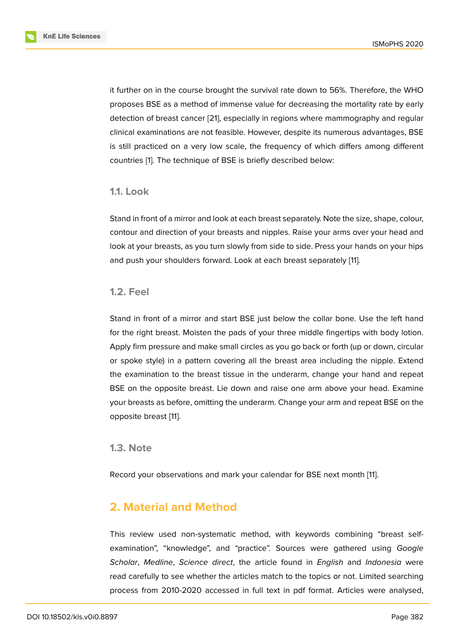it further on in the course brought the survival rate down to 56%. Therefore, the WHO proposes BSE as a method of immense value for decreasing the mortality rate by early detection of breast cancer [21], especially in regions where mammography and regular clinical examinations are not feasible. However, despite its numerous advantages, BSE is still practiced on a very low scale, the frequency of which differs among different countries [1]. The techniqu[e of](#page-10-0) BSE is briefly described below:

### **1.1. Loo[k](#page-8-0)**

Stand in front of a mirror and look at each breast separately. Note the size, shape, colour, contour and direction of your breasts and nipples. Raise your arms over your head and look at your breasts, as you turn slowly from side to side. Press your hands on your hips and push your shoulders forward. Look at each breast separately [11].

### **1.2. Feel**

Stand in front of a mirror and start BSE just below the collar bone. Use the left hand for the right breast. Moisten the pads of your three middle fingertips with body lotion. Apply firm pressure and make small circles as you go back or forth (up or down, circular or spoke style) in a pattern covering all the breast area including the nipple. Extend the examination to the breast tissue in the underarm, change your hand and repeat BSE on the opposite breast. Lie down and raise one arm above your head. Examine your breasts as before, omitting the underarm. Change your arm and repeat BSE on the opposite breast [11].

### **1.3. Note**

Record your observations and mark your calendar for BSE next month [11].

# **2. Material and Method**

This review used non-systematic method, with keywords combining "breast selfexamination", "knowledge", and "practice". Sources were gathered using *Google Scholar*, *Medline*, *Science direct*, the article found in *English* and *Indonesia* were read carefully to see whether the articles match to the topics or not. Limited searching process from 2010-2020 accessed in full text in pdf format. Articles were analysed,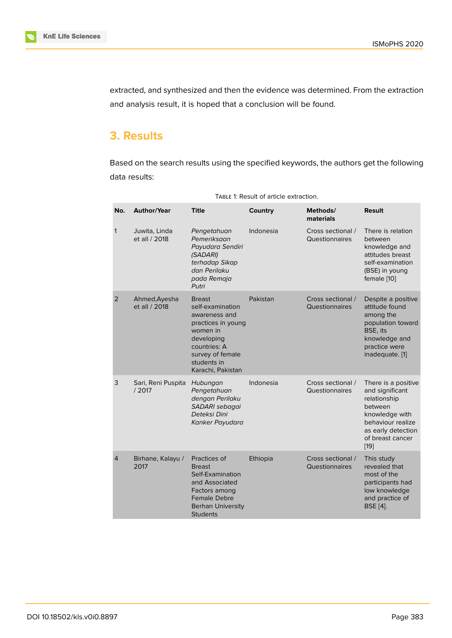extracted, and synthesized and then the evidence was determined. From the extraction and analysis result, it is hoped that a conclusion will be found.

# **3. Results**

Based on the search results using the specified keywords, the authors get the following data results:

| No.            | <b>Author/Year</b>             | <b>Title</b>                                                                                                                                                               | Country   | Methods/<br>materials               | <b>Result</b>                                                                                                                                                |
|----------------|--------------------------------|----------------------------------------------------------------------------------------------------------------------------------------------------------------------------|-----------|-------------------------------------|--------------------------------------------------------------------------------------------------------------------------------------------------------------|
| 1              | Juwita, Linda<br>et all / 2018 | Pengetahuan<br>Pemeriksaan<br>Payudara Sendiri<br>(SADARI)<br>terhadap Sikap<br>dan Perilaku<br>pada Remaja<br>Putri                                                       | Indonesia | Cross sectional /<br>Questionnaires | There is relation<br>between<br>knowledge and<br>attitudes breast<br>self-examination<br>(BSE) in young<br>female [10]                                       |
| $\overline{2}$ | Ahmed, Ayesha<br>et all / 2018 | <b>Breast</b><br>self-examination<br>awareness and<br>practices in young<br>women in<br>developing<br>countries: A<br>survey of female<br>students in<br>Karachi, Pakistan | Pakistan  | Cross sectional /<br>Questionnaires | Despite a positive<br>attitude found<br>among the<br>population toward<br>BSE, its<br>knowledge and<br>practice were<br>inadequate. [1]                      |
| 3              | Sari, Reni Puspita<br>/2017    | Hubungan<br>Pengetahuan<br>dengan Perilaku<br>SADARI sebagai<br>Deteksi Dini<br>Kanker Payudara                                                                            | Indonesia | Cross sectional /<br>Questionnaires | There is a positive<br>and significant<br>relationship<br>between<br>knowledge with<br>behaviour realize<br>as early detection<br>of breast cancer<br>$[19]$ |
| $\overline{4}$ | Birhane, Kalayu /<br>2017      | Practices of<br><b>Breast</b><br>Self-Examination<br>and Associated<br>Factors among<br><b>Female Debre</b><br><b>Berhan University</b><br><b>Students</b>                 | Ethiopia  | Cross sectional /<br>Questionnaires | This study<br>revealed that<br>most of the<br>participants had<br>low knowledge<br>and practice of<br><b>BSE</b> [4].                                        |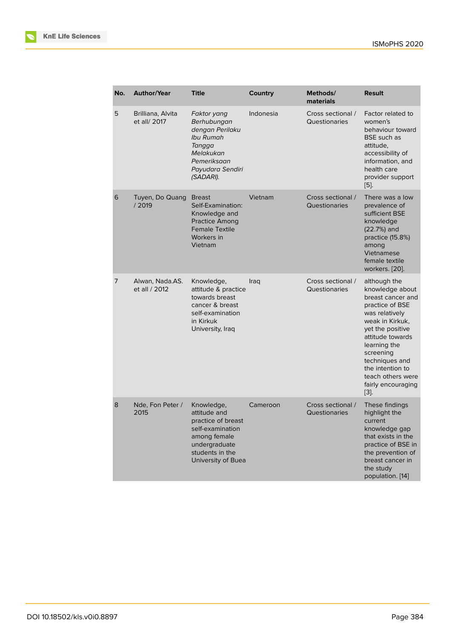| No. | <b>Author/Year</b>                | <b>Title</b>                                                                                                                                   | Country   | Methods/<br>materials              | <b>Result</b>                                                                                                                                                                                                                                                               |
|-----|-----------------------------------|------------------------------------------------------------------------------------------------------------------------------------------------|-----------|------------------------------------|-----------------------------------------------------------------------------------------------------------------------------------------------------------------------------------------------------------------------------------------------------------------------------|
| 5   | Brilliana, Alvita<br>et all/ 2017 | Faktor yang<br>Berhubungan<br>dengan Perilaku<br>Ibu Rumah<br>Tangga<br>Melakukan<br>Pemeriksaan<br>Payudara Sendiri<br>(SADARI).              | Indonesia | Cross sectional /<br>Questionaries | Factor related to<br>women's<br>behaviour toward<br><b>BSE</b> such as<br>attitude.<br>accessibility of<br>information, and<br>health care<br>provider support<br>[5].                                                                                                      |
| 6   | Tuyen, Do Quang<br>/2019          | <b>Breast</b><br>Self-Examination:<br>Knowledge and<br><b>Practice Among</b><br><b>Female Textile</b><br>Workers in<br>Vietnam                 | Vietnam   | Cross sectional /<br>Questionaries | There was a low<br>prevalence of<br>sufficient BSE<br>knowledge<br>(22.7%) and<br>practice (15.8%)<br>among<br>Vietnamese<br>female textile<br>workers. [20].                                                                                                               |
| 7   | Alwan, Nada.AS.<br>et all / 2012  | Knowledge,<br>attitude & practice<br>towards breast<br>cancer & breast<br>self-examination<br>in Kirkuk<br>University, Iraq                    | Iraq      | Cross sectional /<br>Questionaries | although the<br>knowledge about<br>breast cancer and<br>practice of BSE<br>was relatively<br>weak in Kirkuk,<br>yet the positive<br>attitude towards<br>learning the<br>screening<br>techniques and<br>the intention to<br>teach others were<br>fairly encouraging<br>$[3]$ |
| 8   | Nde, Fon Peter /<br>2015          | Knowledge,<br>attitude and<br>practice of breast<br>self-examination<br>among female<br>undergraduate<br>students in the<br>University of Buea | Cameroon  | Cross sectional /<br>Questionaries | These findings<br>highlight the<br>current<br>knowledge gap<br>that exists in the<br>practice of BSE in<br>the prevention of<br>breast cancer in<br>the study<br>population. [14]                                                                                           |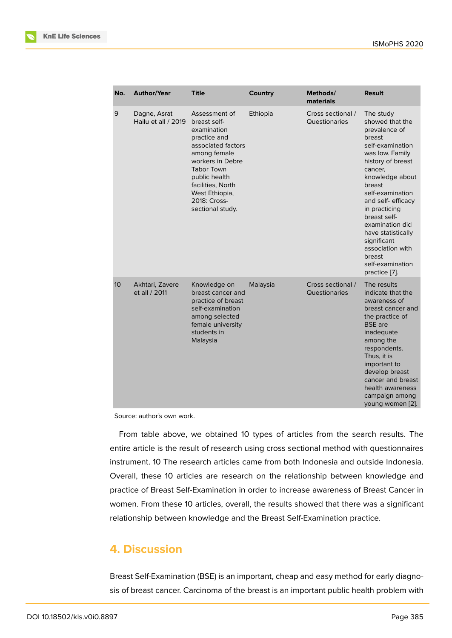| No.             | <b>Author/Year</b>                  | <b>Title</b>                                                                                                                                                                                                                            | Country  | Methods/<br>materials              | <b>Result</b>                                                                                                                                                                                                                                                                                                                                                    |
|-----------------|-------------------------------------|-----------------------------------------------------------------------------------------------------------------------------------------------------------------------------------------------------------------------------------------|----------|------------------------------------|------------------------------------------------------------------------------------------------------------------------------------------------------------------------------------------------------------------------------------------------------------------------------------------------------------------------------------------------------------------|
| 9               | Dagne, Asrat<br>Hailu et all / 2019 | Assessment of<br>breast self-<br>examination<br>practice and<br>associated factors<br>among female<br>workers in Debre<br><b>Tabor Town</b><br>public health<br>facilities, North<br>West Ethiopia,<br>2018: Cross-<br>sectional study. | Ethiopia | Cross sectional /<br>Questionaries | The study<br>showed that the<br>prevalence of<br>breast<br>self-examination<br>was low. Family<br>history of breast<br>cancer,<br>knowledge about<br>breast<br>self-examination<br>and self-efficacy<br>in practicing<br>breast self-<br>examination did<br>have statistically<br>significant<br>association with<br>breast<br>self-examination<br>practice [7]. |
| 10 <sup>°</sup> | Akhtari, Zavere<br>et all / 2011    | Knowledge on<br>breast cancer and<br>practice of breast<br>self-examination<br>among selected<br>female university<br>students in<br>Malaysia                                                                                           | Malaysia | Cross sectional /<br>Questionaries | The results<br>indicate that the<br>awareness of<br>breast cancer and<br>the practice of<br><b>BSE</b> are<br>inadequate<br>among the<br>respondents.<br>Thus, it is<br>important to<br>develop breast<br>cancer and breast<br>health awareness<br>campaign among<br>young women [2].                                                                            |

Source: author's own work.

From table above, we obtained 10 types of articles from the search results. The entire article is the result of research using cross sectional method with questionn[air](#page-8-2)es instrument. 10 The research articles came from both Indonesia and outside Indonesia. Overall, these 10 articles are research on the relationship between knowledge and practice of Breast Self-Examination in order to increase awareness of Breast Cancer in women. From these 10 articles, overall, the results showed that there was a significant relationship between knowledge and the Breast Self-Examination practice.

# **4. Discussion**

Breast Self-Examination (BSE) is an important, cheap and easy method for early diagnosis of breast cancer. Carcinoma of the breast is an important public health problem with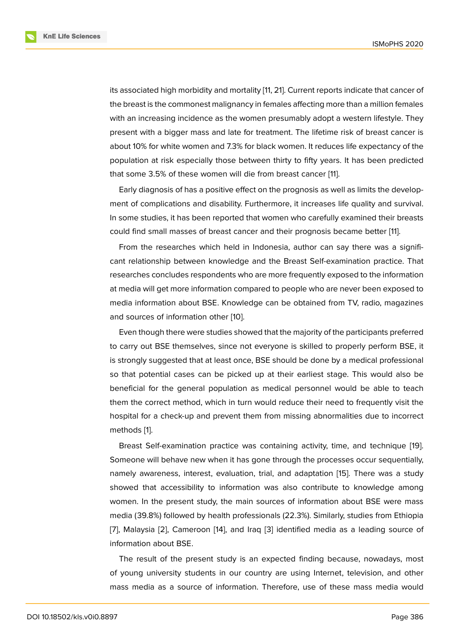its associated high morbidity and mortality [11, 21]. Current reports indicate that cancer of the breast is the commonest malignancy in females affecting more than a million females with an increasing incidence as the women presumably adopt a western lifestyle. They present with a bigger mass and late for tr[eat](#page-9-7)[me](#page-10-0)nt. The lifetime risk of breast cancer is about 10% for white women and 7.3% for black women. It reduces life expectancy of the population at risk especially those between thirty to fifty years. It has been predicted that some 3.5% of these women will die from breast cancer [11].

Early diagnosis of has a positive effect on the prognosis as well as limits the development of complications and disability. Furthermore, it increases life quality and survival. In some studies, it has been reported that women who caref[ully](#page-9-7) examined their breasts could find small masses of breast cancer and their prognosis became better [11].

From the researches which held in Indonesia, author can say there was a significant relationship between knowledge and the Breast Self-examination practice. That researches concludes respondents who are more frequently exposed to the in[for](#page-9-7)mation at media will get more information compared to people who are never been exposed to media information about BSE. Knowledge can be obtained from TV, radio, magazines and sources of information other [10].

Even though there were studies showed that the majority of the participants preferred to carry out BSE themselves, since not everyone is skilled to properly perform BSE, it is strongly suggested that at least [on](#page-9-4)ce, BSE should be done by a medical professional so that potential cases can be picked up at their earliest stage. This would also be beneficial for the general population as medical personnel would be able to teach them the correct method, which in turn would reduce their need to frequently visit the hospital for a check-up and prevent them from missing abnormalities due to incorrect methods [1].

Breast Self-examination practice was containing activity, time, and technique [19]. Someone will behave new when it has gone through the processes occur sequentially, namely a[w](#page-8-0)areness, interest, evaluation, trial, and adaptation [15]. There was a study showed that accessibility to information was also contribute to knowledge am[ong](#page-10-6) women. In the present study, the main sources of information about BSE were mass media (39.8%) followed by health professionals (22.3%). Similar[ly,](#page-10-7) studies from Ethiopia [7], Malaysia [2], Cameroon [14], and Iraq [3] identified media as a leading source of information about BSE.

The result of the present study is an expected finding because, nowadays, most [of](#page-9-6) young uni[ve](#page-8-2)rsity student[s in](#page-10-8) our count[ry](#page-8-1) are using Internet, television, and other mass media as a source of information. Therefore, use of these mass media would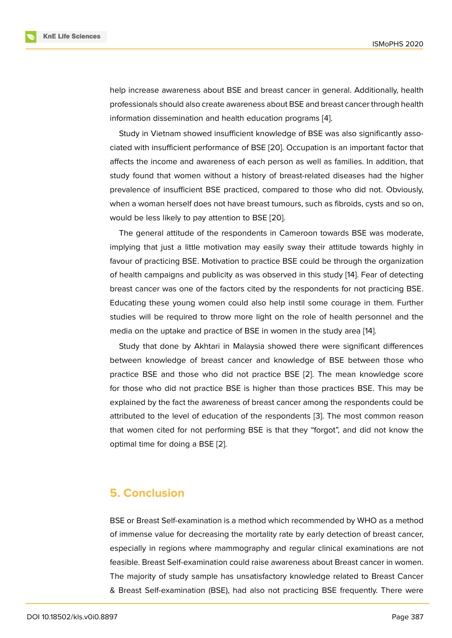help increase awareness about BSE and breast cancer in general. Additionally, health professionals should also create awareness about BSE and breast cancer through health information dissemination and health education programs [4].

Study in Vietnam showed insufficient knowledge of BSE was also significantly associated with insufficient performance of BSE [20]. Occupation is an important factor that affects the income and awareness of each person as well [as](#page-9-8) families. In addition, that study found that women without a history of breast-related diseases had the higher prevalence of insufficient BSE practiced, c[omp](#page-10-3)ared to those who did not. Obviously, when a woman herself does not have breast tumours, such as fibroids, cysts and so on, would be less likely to pay attention to BSE [20].

The general attitude of the respondents in Cameroon towards BSE was moderate, implying that just a little motivation may easily sway their attitude towards highly in favour of practicing BSE. Motivation to practi[ce](#page-10-3) BSE could be through the organization of health campaigns and publicity as was observed in this study [14]. Fear of detecting breast cancer was one of the factors cited by the respondents for not practicing BSE. Educating these young women could also help instil some courage in them. Further studies will be required to throw more light on the role of heal[th](#page-10-8) personnel and the media on the uptake and practice of BSE in women in the study area [14].

Study that done by Akhtari in Malaysia showed there were significant differences between knowledge of breast cancer and knowledge of BSE between those who practice BSE and those who did not practice BSE [2]. The mean k[no](#page-10-8)wledge score for those who did not practice BSE is higher than those practices BSE. This may be explained by the fact the awareness of breast cancer among the respondents could be attributed to the level of education of the responden[ts](#page-8-2) [3]. The most common reason that women cited for not performing BSE is that they "forgot", and did not know the optimal time for doing a BSE [2].

### **5. Conclusion**

BSE or Breast Self-examination is a method which recommended by WHO as a method of immense value for decreasing the mortality rate by early detection of breast cancer, especially in regions where mammography and regular clinical examinations are not feasible. Breast Self-examination could raise awareness about Breast cancer in women. The majority of study sample has unsatisfactory knowledge related to Breast Cancer & Breast Self-examination (BSE), had also not practicing BSE frequently. There were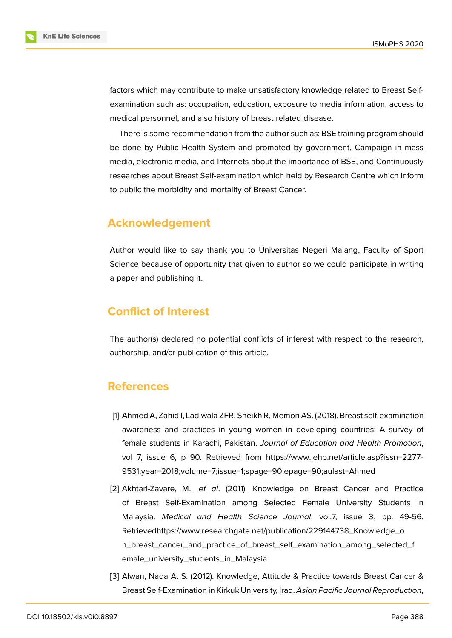factors which may contribute to make unsatisfactory knowledge related to Breast Selfexamination such as: occupation, education, exposure to media information, access to medical personnel, and also history of breast related disease.

There is some recommendation from the author such as: BSE training program should be done by Public Health System and promoted by government, Campaign in mass media, electronic media, and Internets about the importance of BSE, and Continuously researches about Breast Self-examination which held by Research Centre which inform to public the morbidity and mortality of Breast Cancer.

## **Acknowledgement**

Author would like to say thank you to Universitas Negeri Malang, Faculty of Sport Science because of opportunity that given to author so we could participate in writing a paper and publishing it.

# **Conflict of Interest**

The author(s) declared no potential conflicts of interest with respect to the research, authorship, and/or publication of this article.

### **References**

- <span id="page-8-0"></span>[1] Ahmed A, Zahid I, Ladiwala ZFR, Sheikh R, Memon AS. (2018). Breast self-examination awareness and practices in young women in developing countries: A survey of female students in Karachi, Pakistan. *Journal of Education and Health Promotion*, vol 7, issue 6, p 90. Retrieved from https://www.jehp.net/article.asp?issn=2277- 9531;year=2018;volume=7;issue=1;spage=90;epage=90;aulast=Ahmed
- <span id="page-8-2"></span>[2] Akhtari-Zavare, M., *et al*. (2011). Kn[owledge on Breast Cancer and Practice](https://www.jehp.net/article.asp?issn=2277-9531;year=2018;volume=7;issue=1;spage=90;epage=90;aulast=Ahmed) [of Breast Self-Examination among Selected Female University](https://www.jehp.net/article.asp?issn=2277-9531;year=2018;volume=7;issue=1;spage=90;epage=90;aulast=Ahmed) Students in Malaysia. *Medical and Health Science Journal*, vol.7, issue 3, pp. 49-56. Retrievedhttps://www.researchgate.net/publication/229144738\_Knowledge\_o n\_breast\_cancer\_and\_practice\_of\_breast\_self\_examination\_among\_selected\_f emale\_university\_students\_in\_Malaysia
- <span id="page-8-1"></span>[3] [Alwan, Nada A. S. \(2012\). Knowledge, Attitude & Practice towards Breast Cancer](https://www.researchgate.net/publication/229144738_Knowledge_on_breast_cancer_and_practice_of_breast_self_examination_among_selected_female_university_students_in_Malaysia) & [Breast Self-Examination in Kirkuk Univers](https://www.researchgate.net/publication/229144738_Knowledge_on_breast_cancer_and_practice_of_breast_self_examination_among_selected_female_university_students_in_Malaysia)ity, Iraq. *Asian Pacific Journal Reproduction*,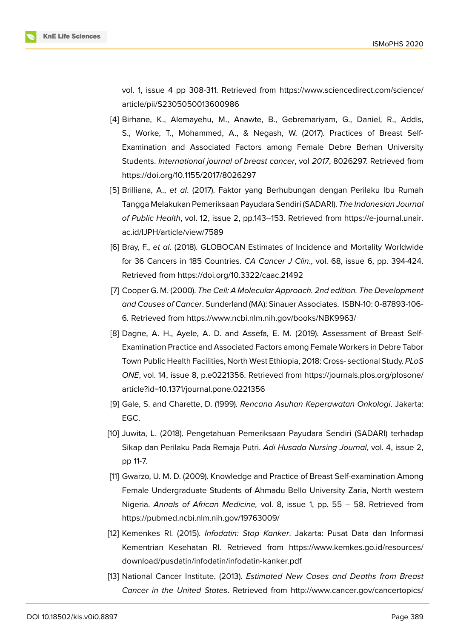vol. 1, issue 4 pp 308-311. Retrieved from https://www.sciencedirect.com/science/ article/pii/S2305050013600986

- <span id="page-9-8"></span>[4] Birhane, K., Alemayehu, M., Anawte, B., Gebremariyam, G., Daniel, R., Addis, S., Worke, T., Mohammed, A., & Negas[h, W. \(2017\). Practices of Breast Self-](https://www.sciencedirect.com/science/article/pii/S2305050013600986)[Examination and Associated F](https://www.sciencedirect.com/science/article/pii/S2305050013600986)actors among Female Debre Berhan University Students. *International journal of breast cancer*, vol *2017*, 8026297. Retrieved from https://doi.org/10.1155/2017/8026297
- [5] Brilliana, A., *et al*. (2017). Faktor yang Berhubungan dengan Perilaku Ibu Rumah Tangga Melakukan Pemeriksaan Payudara Sendiri (SADARI). *The Indonesian Journal of Public Health*[, vol. 12, issue 2, pp.1](https://doi.org/10.1155/2017/8026297)43–153. Retrieved from https://e-journal.unair. ac.id/IJPH/article/view/7589
- <span id="page-9-5"></span>[6] Bray, F., *et al*. (2018). GLOBOCAN Estimates of Incidence and Mortality Worldwide for 36 Cancers in 185 Countries. *CA Cancer J Clin*., vol. 68, [issue 6, pp. 394-424.](https://e-journal.unair.ac.id/IJPH/article/view/7589) [Retrieved from](https://e-journal.unair.ac.id/IJPH/article/view/7589) https://doi.org/10.3322/caac.21492
- <span id="page-9-2"></span>[7] Cooper G. M. (2000). *The Cell: A Molecular Approach. 2nd edition. The Development and Causes of Cancer*. Sunderland (MA): Sinauer Associates. ISBN-10: 0-87893-106- 6. Retrieved from [https://www.ncbi.nlm.nih.gov/boo](https://doi.org/10.3322/caac.21492)ks/NBK9963/
- <span id="page-9-6"></span><span id="page-9-0"></span>[8] Dagne, A. H., Ayele, A. D. and Assefa, E. M. (2019). Assessment of Breast Self-Examination Practice and Associated Factors among Female Workers in Debre Tabor Town Public Healt[h Facilities, North West Ethiopia, 2018: Cross- sec](https://www.ncbi.nlm.nih.gov/books/NBK9963/)tional Study. *PLoS ONE*, vol. 14, issue 8, p.e0221356. Retrieved from https://journals.plos.org/plosone/ article?id=10.1371/journal.pone.0221356
- [9] Gale, S. and Charette, D. (1999). *Rencana Asuhan Keperawatan Onkologi*. Jakarta: EGC.
- <span id="page-9-1"></span>[10] [Juwita, L. \(2018\). Pengetahuan Pemerik](https://journals.plos.org/plosone/article?id=10.1371/journal.pone.0221356)saan Payudara Sendiri (SADARI) terhadap Sikap dan Perilaku Pada Remaja Putri. *Adi Husada Nursing Journal*, vol. 4, issue 2, pp 11-7.
- <span id="page-9-4"></span>[11] Gwarzo, U. M. D. (2009). Knowledge and Practice of Breast Self-examination Among Female Undergraduate Students of Ahmadu Bello University Zaria, North western Nigeria. *Annals of African Medicine,* vol. 8, issue 1, pp. 55 – 58. Retrieved from https://pubmed.ncbi.nlm.nih.gov/19763009/
- <span id="page-9-7"></span>[12] Kemenkes RI. (2015). *Infodatin: Stop Kanker*. Jakarta: Pusat Data dan Informasi Kementrian Kesehatan RI. Retrieved from https://www.kemkes.go.id/resources/ [download/pusdatin/infodatin/infodatin-kank](https://pubmed.ncbi.nlm.nih.gov/19763009/)er.pdf
- <span id="page-9-3"></span>[13] National Cancer Institute. (2013). *Estimated New Cases and Deaths from Breast Cancer in the United States*. Retrieved from [http://www.cancer.gov/cancertopics/](https://www.kemkes.go.id/resources/download/pusdatin/infodatin/infodatin-kanker.pdf)